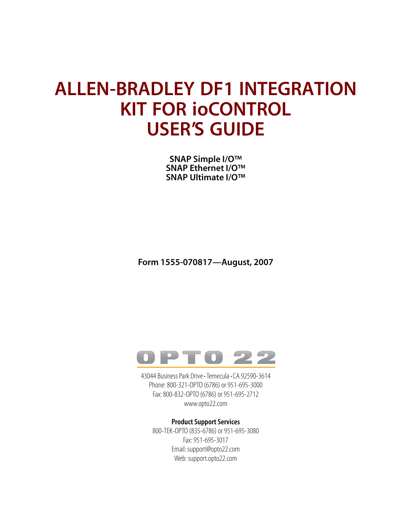# **ALLEN-BRADLEY DF1 INTEGRATION KIT FOR ioCONTROL USER'S GUIDE**

**SNAP Simple I/O™ SNAP Ethernet I/O™ SNAP Ultimate I/O™**

**Form 1555-070817—August, 2007**



43044 Business Park Drive • Temecula • CA 92590-3614 Phone: 800-321-OPTO (6786) or 951-695-3000 Fax: 800-832-OPTO (6786) or 951-695-2712 www.opto22.com

#### **Product Support Services**

800-TEK-OPTO (835-6786) or 951-695-3080 Fax: 951-695-3017 Email: support@opto22.com Web: support.opto22.com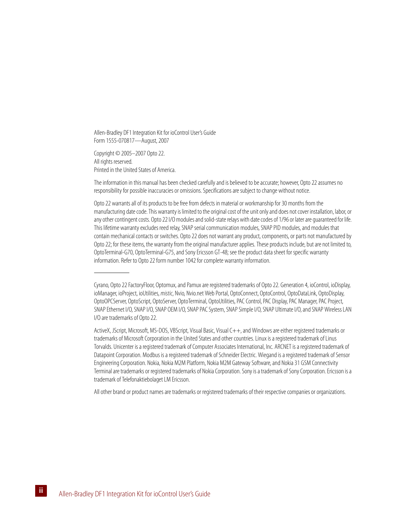Allen-Bradley DF1 Integration Kit for ioControl User's Guide Form 1555-070817—August, 2007

Copyright © 2005–2007 Opto 22. All rights reserved. Printed in the United States of America.

The information in this manual has been checked carefully and is believed to be accurate; however, Opto 22 assumes no responsibility for possible inaccuracies or omissions. Specifications are subject to change without notice.

Opto 22 warrants all of its products to be free from defects in material or workmanship for 30 months from the manufacturing date code. This warranty is limited to the original cost of the unit only and does not cover installation, labor, or any other contingent costs. Opto 22 I/O modules and solid-state relays with date codes of 1/96 or later are guaranteed for life. This lifetime warranty excludes reed relay, SNAP serial communication modules, SNAP PID modules, and modules that contain mechanical contacts or switches. Opto 22 does not warrant any product, components, or parts not manufactured by Opto 22; for these items, the warranty from the original manufacturer applies. These products include, but are not limited to, OptoTerminal-G70, OptoTerminal-G75, and Sony Ericsson GT-48; see the product data sheet for specific warranty information. Refer to Opto 22 form number 1042 for complete warranty information.

All other brand or product names are trademarks or registered trademarks of their respective companies or organizations.

Cyrano, Opto 22 FactoryFloor, Optomux, and Pamux are registered trademarks of Opto 22. Generation 4, ioControl, ioDisplay, ioManager, ioProject, ioUtilities, *mistic*, Nvio, Nvio.net Web Portal, OptoConnect, OptoControl, OptoDataLink, OptoDisplay, OptoOPCServer, OptoScript, OptoServer, OptoTerminal, OptoUtilities, PAC Control, PAC Display, PAC Manager, PAC Project, SNAP Ethernet I/O, SNAP I/O, SNAP OEM I/O, SNAP PAC System, SNAP Simple I/O, SNAP Ultimate I/O, and SNAP Wireless LAN I/O are trademarks of Opto 22.

ActiveX, JScript, Microsoft, MS-DOS, VBScript, Visual Basic, Visual C++, and Windows are either registered trademarks or trademarks of Microsoft Corporation in the United States and other countries. Linux is a registered trademark of Linus Torvalds. Unicenter is a registered trademark of Computer Associates International, Inc. ARCNET is a registered trademark of Datapoint Corporation. Modbus is a registered trademark of Schneider Electric. Wiegand is a registered trademark of Sensor Engineering Corporation. Nokia, Nokia M2M Platform, Nokia M2M Gateway Software, and Nokia 31 GSM Connectivity Terminal are trademarks or registered trademarks of Nokia Corporation. Sony is a trademark of Sony Corporation. Ericsson is a trademark of Telefonaktiebolaget LM Ericsson.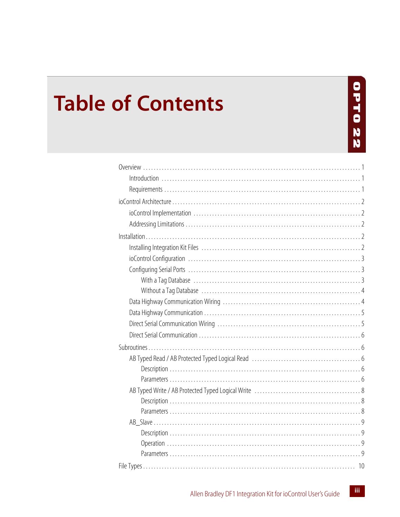# **Table of Contents**

# **OPT022**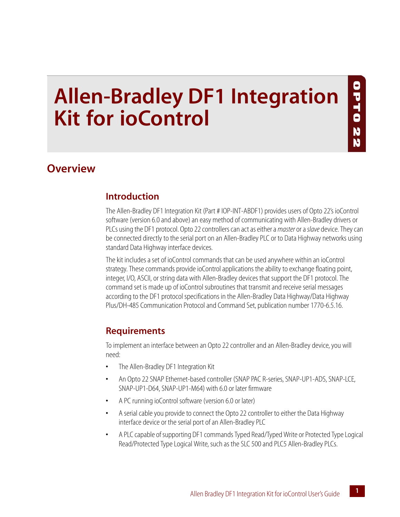# **Allen-Bradley DF1 Integration Kit for ioControl**

# <span id="page-4-0"></span>**Overview**

#### <span id="page-4-1"></span>**Introduction**

The Allen-Bradley DF1 Integration Kit (Part # IOP-INT-ABDF1) provides users of Opto 22's ioControl software (version 6.0 and above) an easy method of communicating with Allen-Bradley drivers or PLCs using the DF1 protocol. Opto 22 controllers can act as either a *master* or a *slave* device. They can be connected directly to the serial port on an Allen-Bradley PLC or to Data Highway networks using standard Data Highway interface devices.

The kit includes a set of ioControl commands that can be used anywhere within an ioControl strategy. These commands provide ioControl applications the ability to exchange floating point, integer, I/O, ASCII, or string data with Allen-Bradley devices that support the DF1 protocol. The command set is made up of ioControl subroutines that transmit and receive serial messages according to the DF1 protocol specifications in the Allen-Bradley Data Highway/Data Highway Plus/DH-485 Communication Protocol and Command Set, publication number 1770-6.5.16.

# <span id="page-4-2"></span>**Requirements**

To implement an interface between an Opto 22 controller and an Allen-Bradley device, you will need:

- **•** The Allen-Bradley DF1 Integration Kit
- **•** An Opto 22 SNAP Ethernet-based controller (SNAP PAC R-series, SNAP-UP1-ADS, SNAP-LCE, SNAP-UP1-D64, SNAP-UP1-M64) with 6.0 or later firmware
- **•** A PC running ioControl software (version 6.0 or later)
- **•** A serial cable you provide to connect the Opto 22 controller to either the Data Highway interface device or the serial port of an Allen-Bradley PLC
- **•** A PLC capable of supporting DF1 commands Typed Read/Typed Write or Protected Type Logical Read/Protected Type Logical Write, such as the SLC 500 and PLC5 Allen-Bradley PLCs.

0 H d O

22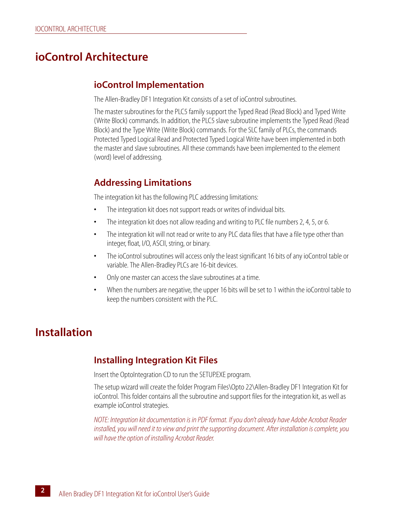# <span id="page-5-0"></span>**ioControl Architecture**

#### <span id="page-5-1"></span>**ioControl Implementation**

The Allen-Bradley DF1 Integration Kit consists of a set of ioControl subroutines.

The master subroutines for the PLC5 family support the Typed Read (Read Block) and Typed Write (Write Block) commands. In addition, the PLC5 slave subroutine implements the Typed Read (Read Block) and the Type Write (Write Block) commands. For the SLC family of PLCs, the commands Protected Typed Logical Read and Protected Typed Logical Write have been implemented in both the master and slave subroutines. All these commands have been implemented to the element (word) level of addressing.

#### <span id="page-5-2"></span>**Addressing Limitations**

The integration kit has the following PLC addressing limitations:

- **•** The integration kit does not support reads or writes of individual bits.
- **•** The integration kit does not allow reading and writing to PLC file numbers 2, 4, 5, or 6.
- **•** The integration kit will not read or write to any PLC data files that have a file type other than integer, float, I/O, ASCII, string, or binary.
- **•** The ioControl subroutines will access only the least significant 16 bits of any ioControl table or variable. The Allen-Bradley PLCs are 16-bit devices.
- **•** Only one master can access the slave subroutines at a time.
- **•** When the numbers are negative, the upper 16 bits will be set to 1 within the ioControl table to keep the numbers consistent with the PLC.

# <span id="page-5-3"></span>**Installation**

#### <span id="page-5-4"></span>**Installing Integration Kit Files**

Insert the OptoIntegration CD to run the SETUP.EXE program.

The setup wizard will create the folder Program Files\Opto 22\Allen-Bradley DF1 Integration Kit for ioControl. This folder contains all the subroutine and support files for the integration kit, as well as example ioControl strategies.

*NOTE: Integration kit documentation is in PDF format. If you don't already have Adobe Acrobat Reader installed, you will need it to view and print the supporting document. After installation is complete, you will have the option of installing Acrobat Reader.*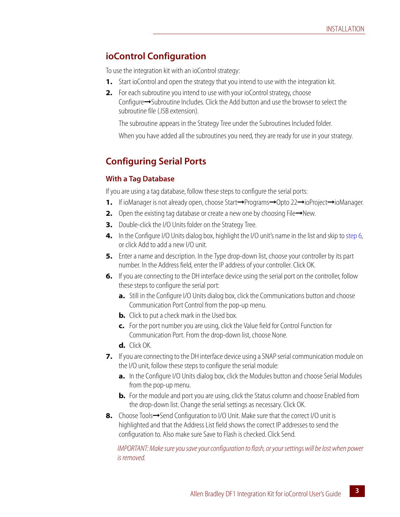### <span id="page-6-0"></span>**ioControl Configuration**

To use the integration kit with an ioControl strategy:

- **1.** Start ioControl and open the strategy that you intend to use with the integration kit.
- **2.** For each subroutine you intend to use with your ioControl strategy, choose Configure➞Subroutine Includes. Click the Add button and use the browser to select the subroutine file (.ISB extension).

The subroutine appears in the Strategy Tree under the Subroutines Included folder.

When you have added all the subroutines you need, they are ready for use in your strategy.

# <span id="page-6-1"></span>**Configuring Serial Ports**

#### <span id="page-6-2"></span>**With a Tag Database**

If you are using a tag database, follow these steps to configure the serial ports:

- **1.** If ioManager is not already open, choose Start→Programs→Opto 22→ioProject→ioManager.
- **2.** Open the existing tag database or create a new one by choosing File→New.
- **3.** Double-click the I/O Units folder on the Strategy Tree.
- **4.** In the Configure I/O Units dialog box, highlight the I/O unit's name in the list and skip to [step 6,](#page-6-3) or click Add to add a new I/O unit.
- **5.** Enter a name and description. In the Type drop-down list, choose your controller by its part number. In the Address field, enter the IP address of your controller. Click OK.
- <span id="page-6-3"></span>**6.** If you are connecting to the DH interface device using the serial port on the controller, follow these steps to configure the serial port:
	- **a.** Still in the Configure I/O Units dialog box, click the Communications button and choose Communication Port Control from the pop-up menu.
	- **b.** Click to put a check mark in the Used box.
	- **c.** For the port number you are using, click the Value field for Control Function for Communication Port. From the drop-down list, choose None.
	- **d.** Click OK.
- **7.** If you are connecting to the DH interface device using a SNAP serial communication module on the I/O unit, follow these steps to configure the serial module:
	- **a.** In the Configure I/O Units dialog box, click the Modules button and choose Serial Modules from the pop-up menu.
	- **b.** For the module and port you are using, click the Status column and choose Enabled from the drop-down list. Change the serial settings as necessary. Click OK.
- 8. Choose Tools→Send Configuration to I/O Unit. Make sure that the correct I/O unit is highlighted and that the Address List field shows the correct IP addresses to send the configuration to. Also make sure Save to Flash is checked. Click Send.

*IMPORTANT: Make sure you save your configuration to flash, or your settings will be lost when power is removed.*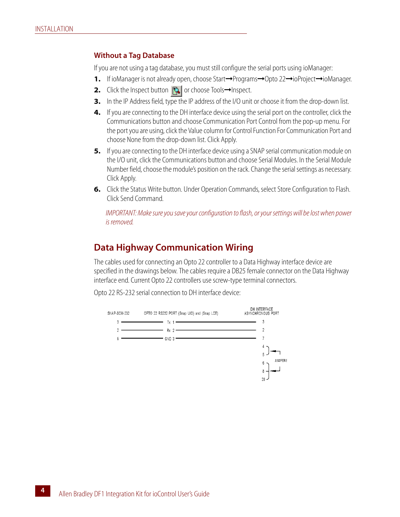#### <span id="page-7-0"></span>**Without a Tag Database**

If you are not using a tag database, you must still configure the serial ports using ioManager:

- **1.** If ioManager is not already open, choose Start→Programs→Opto 22→ioProject→ioManager.
- **2.** Click the Inspect button **a** or choose Tools→Inspect.
- **3.** In the IP Address field, type the IP address of the I/O unit or choose it from the drop-down list.
- **4.** If you are connecting to the DH interface device using the serial port on the controller, click the Communications button and choose Communication Port Control from the pop-up menu. For the port you are using, click the Value column for Control Function For Communication Port and choose None from the drop-down list. Click Apply.
- **5.** If you are connecting to the DH interface device using a SNAP serial communication module on the I/O unit, click the Communications button and choose Serial Modules. In the Serial Module Number field, choose the module's position on the rack. Change the serial settings as necessary. Click Apply.
- **6.** Click the Status Write button. Under Operation Commands, select Store Configuration to Flash. Click Send Command.

*IMPORTANT: Make sure you save your configuration to flash, or your settings will be lost when power is removed.*

#### <span id="page-7-1"></span>**Data Highway Communication Wiring**

The cables used for connecting an Opto 22 controller to a Data Highway interface device are specified in the drawings below. The cables require a DB25 female connector on the Data Highway interface end. Current Opto 22 controllers use screw-type terminal connectors.

Opto 22 RS-232 serial connection to DH interface device:

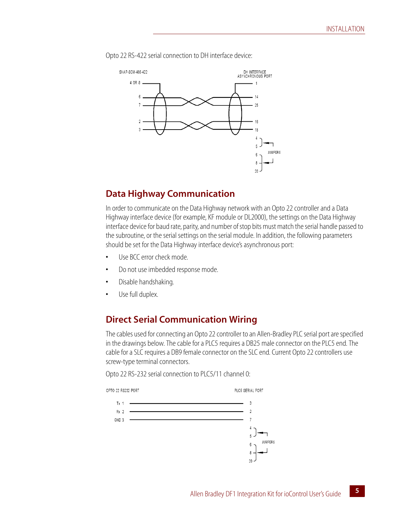SNAP-SCM-485-422 DH INTERFACE<br>ASYNCHRONOUS PORT 4 OR 8 .  $-1$  $14$  $6\phantom{a}$ 25  $\mathcal{D}$ 16 18  $\overline{3}$  $\bar{z}$ **JUMPERS**  $\boldsymbol{6}$ 8  $\overline{20}$ 

Opto 22 RS-422 serial connection to DH interface device:

# <span id="page-8-0"></span>**Data Highway Communication**

In order to communicate on the Data Highway network with an Opto 22 controller and a Data Highway interface device (for example, KF module or DL2000), the settings on the Data Highway interface device for baud rate, parity, and number of stop bits must match the serial handle passed to the subroutine, or the serial settings on the serial module. In addition, the following parameters should be set for the Data Highway interface device's asynchronous port:

- **•** Use BCC error check mode.
- **•** Do not use imbedded response mode.
- **•** Disable handshaking.
- **•** Use full duplex.

# <span id="page-8-1"></span>**Direct Serial Communication Wiring**

The cables used for connecting an Opto 22 controller to an Allen-Bradley PLC serial port are specified in the drawings below. The cable for a PLC5 requires a DB25 male connector on the PLC5 end. The cable for a SLC requires a DB9 female connector on the SLC end. Current Opto 22 controllers use screw-type terminal connectors.

Opto 22 RS-232 serial connection to PLC5/11 channel 0:

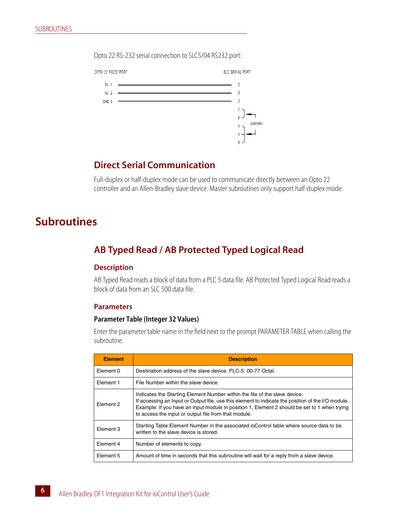Opto 22 RS-232 serial connection to SLC5/04 RS232 port:



#### <span id="page-9-0"></span>**Direct Serial Communication**

Full-duplex or half-duplex mode can be used to communicate directly between an Opto 22 controller and an Allen-Bradley slave device. Master subroutines only support half-duplex mode.

# <span id="page-9-1"></span>**Subroutines**

## <span id="page-9-2"></span>**AB Typed Read / AB Protected Typed Logical Read**

#### <span id="page-9-3"></span>**Description**

AB Typed Read reads a block of data from a PLC 5 data file. AB Protected Typed Logical Read reads a block of data from an SLC 500 data file.

#### <span id="page-9-4"></span>**Parameters**

#### **Parameter Table (Integer 32 Values)**

Enter the parameter table name in the field next to the prompt PARAMETER TABLE when calling the subroutine.

| <b>Element</b> | <b>Description</b>                                                                                                                                                                                                                                                                                                                       |
|----------------|------------------------------------------------------------------------------------------------------------------------------------------------------------------------------------------------------------------------------------------------------------------------------------------------------------------------------------------|
| Element 0      | Destination address of the slave device, PLC-5: 00-77 Octal.                                                                                                                                                                                                                                                                             |
| Flement 1      | File Number within the slave device.                                                                                                                                                                                                                                                                                                     |
| Flement 2      | Indicates the Starting Element Number within the file of the slave device.<br>If accessing an Input or Output file, use this element to indicate the position of the I/O module.<br>Example: If you have an input module in position 1, Element 2 should be set to 1 when trying<br>to access the input or output file from that module. |
| Flement 3      | Starting Table Element Number in the associated io Control table where source data to be<br>written to the slave device is stored.                                                                                                                                                                                                       |
| Flement 4      | Number of elements to copy.                                                                                                                                                                                                                                                                                                              |
| Element 5      | Amount of time in seconds that this subroutine will wait for a reply from a slave device.                                                                                                                                                                                                                                                |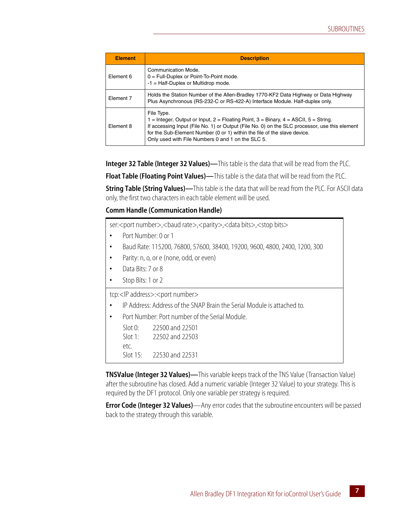| <b>Element</b> | <b>Description</b>                                                                                                                                                                                                                                                                                                                           |
|----------------|----------------------------------------------------------------------------------------------------------------------------------------------------------------------------------------------------------------------------------------------------------------------------------------------------------------------------------------------|
| Element 6      | Communication Mode.<br>$0 =$ Full-Duplex or Point-To-Point mode.<br>$-1$ = Half-Duplex or Multidrop mode.                                                                                                                                                                                                                                    |
| Element 7      | Holds the Station Number of the Allen-Bradley 1770-KF2 Data Highway or Data Highway<br>Plus Asynchronous (RS-232-C or RS-422-A) Interface Module. Half-duplex only.                                                                                                                                                                          |
| Element 8      | File Type.<br>1 = Integer, Output or Input, $2$ = Floating Point, $3$ = Binary, $4$ = ASCII, $5$ = String.<br>If accessing Input (File No. 1) or Output (File No. 0) on the SLC processor, use this element<br>for the Sub-Element Number (0 or 1) within the file of the slave device.<br>Only used with File Numbers 0 and 1 on the SLC 5. |

**Integer 32 Table (Integer 32 Values)—**This table is the data that will be read from the PLC.

**Float Table (Floating Point Values)—**This table is the data that will be read from the PLC.

**String Table (String Values)—**This table is the data that will be read from the PLC. For ASCII data only, the first two characters in each table element will be used.

#### **Comm Handle (Communication Handle)**

ser:<port number>,<br/><br/>stou rate>,<parity>,<data bits>,<stop bits>

- **•** Port Number: 0 or 1
- **•** Baud Rate: 115200, 76800, 57600, 38400, 19200, 9600, 4800, 2400, 1200, 300
- **•** Parity: n, o, or e (none, odd, or even)
- **•** Data Bits: 7 or 8
- **•** Stop Bits: 1 or 2

tcp:<IP address>:<port number>

- **•** IP Address: Address of the SNAP Brain the Serial Module is attached to.
- **•** Port Number: Port number of the Serial Module.

| Slot 0:  | 22500 and 22501 |
|----------|-----------------|
| Slot 1:  | 22502 and 22503 |
| etc.     |                 |
| Slot 15: | 22530 and 22531 |

**TNSValue (Integer 32 Values)—**This variable keeps track of the TNS Value (Transaction Value) after the subroutine has closed. Add a numeric variable (Integer 32 Value) to your strategy. This is required by the DF1 protocol. Only one variable per strategy is required.

**Error Code (Integer 32 Values)**—Any error codes that the subroutine encounters will be passed back to the strategy through this variable.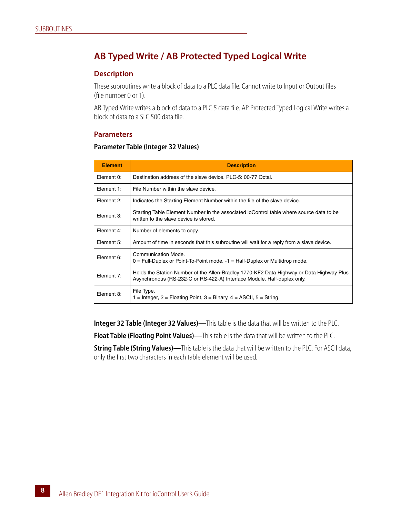# <span id="page-11-0"></span>**AB Typed Write / AB Protected Typed Logical Write**

#### <span id="page-11-1"></span>**Description**

These subroutines write a block of data to a PLC data file. Cannot write to Input or Output files (file number 0 or 1).

AB Typed Write writes a block of data to a PLC 5 data file. AP Protected Typed Logical Write writes a block of data to a SLC 500 data file.

#### <span id="page-11-2"></span>**Parameters**

#### **Parameter Table (Integer 32 Values)**

| <b>Element</b> | <b>Description</b>                                                                                                                                                  |
|----------------|---------------------------------------------------------------------------------------------------------------------------------------------------------------------|
| Element 0:     | Destination address of the slave device, PLC-5: 00-77 Octal.                                                                                                        |
| Element 1:     | File Number within the slave device.                                                                                                                                |
| Element 2:     | Indicates the Starting Element Number within the file of the slave device.                                                                                          |
| Element 3:     | Starting Table Element Number in the associated ioControl table where source data to be<br>written to the slave device is stored.                                   |
| Element 4:     | Number of elements to copy.                                                                                                                                         |
| Element 5:     | Amount of time in seconds that this subroutine will wait for a reply from a slave device.                                                                           |
| Element 6:     | Communication Mode.<br>$0 =$ Full-Duplex or Point-To-Point mode. $-1 =$ Half-Duplex or Multidrop mode.                                                              |
| Element 7:     | Holds the Station Number of the Allen-Bradley 1770-KF2 Data Highway or Data Highway Plus<br>Asynchronous (RS-232-C or RS-422-A) Interface Module. Half-duplex only. |
| Element 8:     | File Type.<br>1 = Integer, $2$ = Floating Point, $3$ = Binary, $4$ = ASCII, $5$ = String.                                                                           |

**Integer 32 Table (Integer 32 Values)—**This table is the data that will be written to the PLC.

**Float Table (Floating Point Values)—**This table is the data that will be written to the PLC.

**String Table (String Values)—**This table is the data that will be written to the PLC. For ASCII data, only the first two characters in each table element will be used.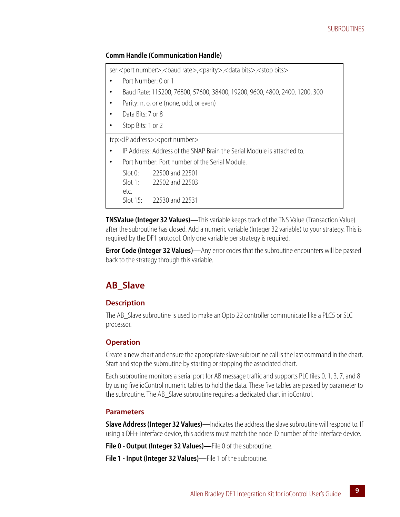#### **Comm Handle (Communication Handle)**

ser:<port number>,<br/><br/>stop are>,<parity>,<data bits>,<stop bits>

- **•** Port Number: 0 or 1
- **•** Baud Rate: 115200, 76800, 57600, 38400, 19200, 9600, 4800, 2400, 1200, 300
- **•** Parity: n, o, or e (none, odd, or even)
- **•** Data Bits: 7 or 8
- **•** Stop Bits: 1 or 2

tcp:<IP address>:<port number>

- **•** IP Address: Address of the SNAP Brain the Serial Module is attached to.
- **•** Port Number: Port number of the Serial Module.

| Slot 0:  | 22500 and 22501 |
|----------|-----------------|
| Slot 1:  | 22502 and 22503 |
| etc.     |                 |
| Slot 15: | 22530 and 22531 |

**TNSValue (Integer 32 Values)—**This variable keeps track of the TNS Value (Transaction Value) after the subroutine has closed. Add a numeric variable (Integer 32 variable) to your strategy. This is required by the DF1 protocol. Only one variable per strategy is required.

**Error Code (Integer 32 Values)—Any error codes that the subroutine encounters will be passed** back to the strategy through this variable.

# <span id="page-12-0"></span>**AB\_Slave**

#### <span id="page-12-1"></span>**Description**

The AB\_Slave subroutine is used to make an Opto 22 controller communicate like a PLC5 or SLC processor.

#### <span id="page-12-2"></span>**Operation**

Create a new chart and ensure the appropriate slave subroutine call is the last command in the chart. Start and stop the subroutine by starting or stopping the associated chart.

Each subroutine monitors a serial port for AB message traffic and supports PLC files 0, 1, 3, 7, and 8 by using five ioControl numeric tables to hold the data. These five tables are passed by parameter to the subroutine. The AB\_Slave subroutine requires a dedicated chart in ioControl.

#### <span id="page-12-3"></span>**Parameters**

**Slave Address (Integer 32 Values)—Indicates the address the slave subroutine will respond to. If** using a DH+ interface device, this address must match the node ID number of the interface device.

**File 0 - Output (Integer 32 Values)—**File 0 of the subroutine.

**File 1 - Input (Integer 32 Values)—**File 1 of the subroutine.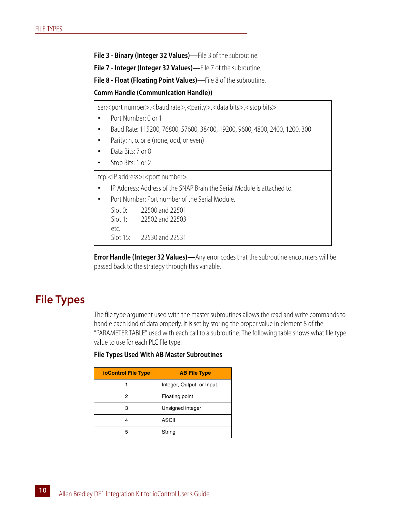**File 3 - Binary (Integer 32 Values)—**File 3 of the subroutine.

**File 7 - Integer (Integer 32 Values)—**File 7 of the subroutine.

**File 8 - Float (Floating Point Values)—**File 8 of the subroutine.

**Comm Handle (Communication Handle))**

ser:<port number>,<br/><br/>stou rate>,<parity>,<data bits>,<stop bits>

- **•** Port Number: 0 or 1
- **•** Baud Rate: 115200, 76800, 57600, 38400, 19200, 9600, 4800, 2400, 1200, 300
- **•** Parity: n, o, or e (none, odd, or even)
- **•** Data Bits: 7 or 8
- **•** Stop Bits: 1 or 2

tcp:<IP address>:<port number>

- **•** IP Address: Address of the SNAP Brain the Serial Module is attached to.
- **•** Port Number: Port number of the Serial Module.

| Slot 0:  | 22500 and 22501 |
|----------|-----------------|
| Slot 1:  | 22502 and 22503 |
| etc.     |                 |
| Slot 15: | 22530 and 22531 |
|          |                 |

**Error Handle (Integer 32 Values)—**Any error codes that the subroutine encounters will be passed back to the strategy through this variable.

# <span id="page-13-0"></span>**File Types**

The file type argument used with the master subroutines allows the read and write commands to handle each kind of data properly. It is set by storing the proper value in element 8 of the "PARAMETER TABLE" used with each call to a subroutine. The following table shows what file type value to use for each PLC file type.

#### **File Types Used With AB Master Subroutines**

| <b>ioControl File Type</b> | <b>AB File Type</b>        |
|----------------------------|----------------------------|
|                            | Integer, Output, or Input. |
| 2                          | Floating point             |
| 3                          | Unsigned integer           |
|                            | ASCII                      |
| 5                          | String                     |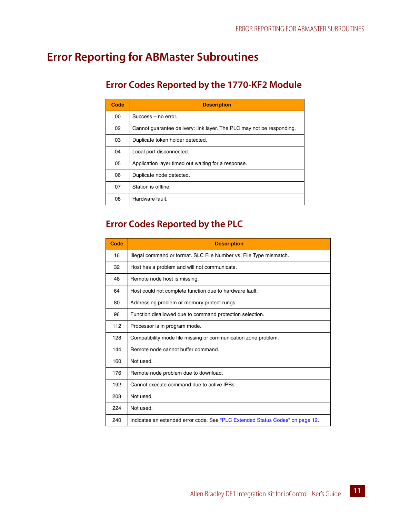# <span id="page-14-0"></span>**Error Reporting for ABMaster Subroutines**

# <span id="page-14-1"></span>**Error Codes Reported by the 1770-KF2 Module**

| Code | <b>Description</b>                                                    |
|------|-----------------------------------------------------------------------|
| 00   | Success – no error.                                                   |
| 02   | Cannot guarantee delivery: link layer. The PLC may not be responding. |
| 03   | Duplicate token holder detected.                                      |
| 04   | Local port disconnected.                                              |
| 05   | Application layer timed out waiting for a response.                   |
| 06   | Duplicate node detected.                                              |
| 07   | Station is offline.                                                   |
| 08   | Hardware fault.                                                       |

# <span id="page-14-2"></span>**Error Codes Reported by the PLC**

| Code | <b>Description</b>                                                            |
|------|-------------------------------------------------------------------------------|
| 16   | Illegal command or format. SLC File Number vs. File Type mismatch.            |
| 32   | Host has a problem and will not communicate.                                  |
| 48   | Remote node host is missing.                                                  |
| 64   | Host could not complete function due to hardware fault.                       |
| 80   | Addressing problem or memory protect rungs.                                   |
| 96   | Function disallowed due to command protection selection.                      |
| 112  | Processor is in program mode.                                                 |
| 128  | Compatibility mode file missing or communication zone problem.                |
| 144  | Remote node cannot buffer command.                                            |
| 160  | Not used.                                                                     |
| 176  | Remote node problem due to download.                                          |
| 192  | Cannot execute command due to active IPBs.                                    |
| 208  | Not used.                                                                     |
| 224  | Not used.                                                                     |
| 240  | Indicates an extended error code. See "PLC Extended Status Codes" on page 12. |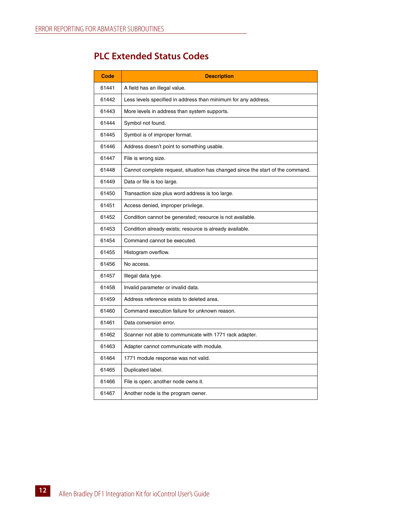# <span id="page-15-0"></span>**PLC Extended Status Codes**

| Code  | <b>Description</b>                                                             |
|-------|--------------------------------------------------------------------------------|
| 61441 | A field has an illegal value.                                                  |
| 61442 | Less levels specified in address than minimum for any address.                 |
| 61443 | More levels in address than system supports.                                   |
| 61444 | Symbol not found.                                                              |
| 61445 | Symbol is of improper format.                                                  |
| 61446 | Address doesn't point to something usable.                                     |
| 61447 | File is wrong size.                                                            |
| 61448 | Cannot complete request, situation has changed since the start of the command. |
| 61449 | Data or file is too large.                                                     |
| 61450 | Transaction size plus word address is too large.                               |
| 61451 | Access denied, improper privilege.                                             |
| 61452 | Condition cannot be generated; resource is not available.                      |
| 61453 | Condition already exists; resource is already available.                       |
| 61454 | Command cannot be executed.                                                    |
| 61455 | Histogram overflow.                                                            |
| 61456 | No access.                                                                     |
| 61457 | Illegal data type.                                                             |
| 61458 | Invalid parameter or invalid data.                                             |
| 61459 | Address reference exists to deleted area.                                      |
| 61460 | Command execution failure for unknown reason.                                  |
| 61461 | Data conversion error.                                                         |
| 61462 | Scanner not able to communicate with 1771 rack adapter.                        |
| 61463 | Adapter cannot communicate with module.                                        |
| 61464 | 1771 module response was not valid.                                            |
| 61465 | Duplicated label.                                                              |
| 61466 | File is open; another node owns it.                                            |
| 61467 | Another node is the program owner.                                             |